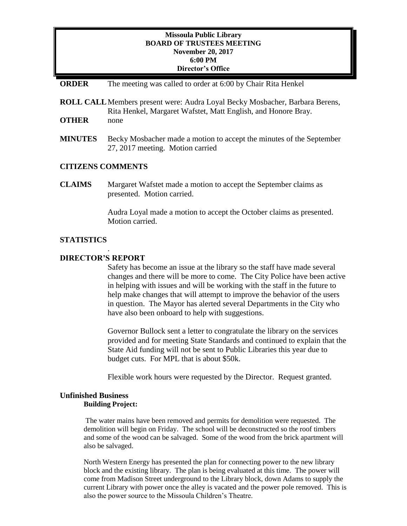### **Missoula Public Library BOARD OF TRUSTEES MEETING November 20, 2017 6:00 PM Director's Office**

#### **ORDER** The meeting was called to order at 6:00 by Chair Rita Henkel

- **ROLL CALL**Members present were: Audra Loyal Becky Mosbacher, Barbara Berens, Rita Henkel, Margaret Wafstet, Matt English, and Honore Bray.
- **OTHER** none
- **MINUTES** Becky Mosbacher made a motion to accept the minutes of the September 27, 2017 meeting. Motion carried

# **CITIZENS COMMENTS**

**CLAIMS** Margaret Wafstet made a motion to accept the September claims as presented. Motion carried.

> Audra Loyal made a motion to accept the October claims as presented. Motion carried.

#### **STATISTICS**

# **DIRECTOR'S REPORT**

.

Safety has become an issue at the library so the staff have made several changes and there will be more to come. The City Police have been active in helping with issues and will be working with the staff in the future to help make changes that will attempt to improve the behavior of the users in question. The Mayor has alerted several Departments in the City who have also been onboard to help with suggestions.

Governor Bullock sent a letter to congratulate the library on the services provided and for meeting State Standards and continued to explain that the State Aid funding will not be sent to Public Libraries this year due to budget cuts. For MPL that is about \$50k.

Flexible work hours were requested by the Director. Request granted.

# **Unfinished Business Building Project:**

The water mains have been removed and permits for demolition were requested. The demolition will begin on Friday. The school will be deconstructed so the roof timbers and some of the wood can be salvaged. Some of the wood from the brick apartment will also be salvaged.

North Western Energy has presented the plan for connecting power to the new library block and the existing library. The plan is being evaluated at this time. The power will come from Madison Street underground to the Library block, down Adams to supply the current Library with power once the alley is vacated and the power pole removed. This is also the power source to the Missoula Children's Theatre.